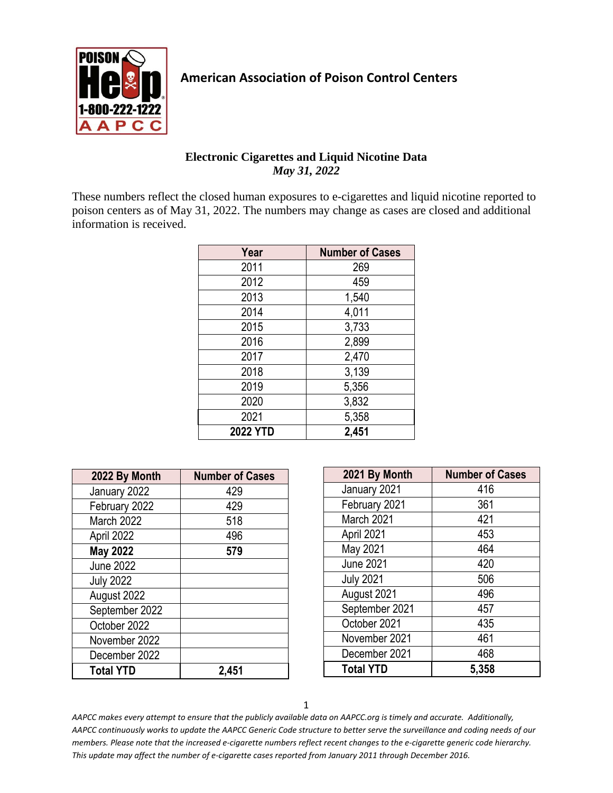

## **American Association of Poison Control Centers**

## **Electronic Cigarettes and Liquid Nicotine Data** *May 31, 2022*

These numbers reflect the closed human exposures to e-cigarettes and liquid nicotine reported to poison centers as of May 31, 2022. The numbers may change as cases are closed and additional information is received.

| Year            | <b>Number of Cases</b> |
|-----------------|------------------------|
| 2011            | 269                    |
| 2012            | 459                    |
| 2013            | 1,540                  |
| 2014            | 4,011                  |
| 2015            | 3,733                  |
| 2016            | 2,899                  |
| 2017            | 2,470                  |
| 2018            | 3,139                  |
| 2019            | 5,356                  |
| 2020            | 3,832                  |
| 2021            | 5,358                  |
| <b>2022 YTD</b> | 2,451                  |

| 2022 By Month    | <b>Number of Cases</b> |
|------------------|------------------------|
| January 2022     | 429                    |
| February 2022    | 429                    |
| March 2022       | 518                    |
| April 2022       | 496                    |
| <b>May 2022</b>  | 579                    |
| <b>June 2022</b> |                        |
| <b>July 2022</b> |                        |
| August 2022      |                        |
| September 2022   |                        |
| October 2022     |                        |
| November 2022    |                        |
| December 2022    |                        |
| <b>Total YTD</b> | 2,451                  |

| 2021 By Month    | <b>Number of Cases</b> |
|------------------|------------------------|
| January 2021     | 416                    |
| February 2021    | 361                    |
| March 2021       | 421                    |
| April 2021       | 453                    |
| May 2021         | 464                    |
| <b>June 2021</b> | 420                    |
| <b>July 2021</b> | 506                    |
| August 2021      | 496                    |
| September 2021   | 457                    |
| October 2021     | 435                    |
| November 2021    | 461                    |
| December 2021    | 468                    |
| <b>Total YTD</b> | 5,358                  |

1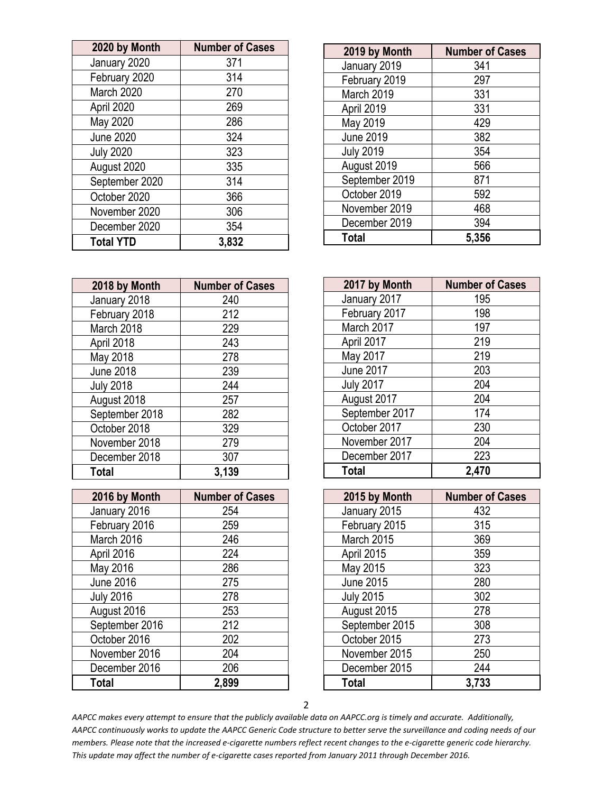| 2020 by Month    | <b>Number of Cases</b> |
|------------------|------------------------|
| January 2020     | 371                    |
| February 2020    | 314                    |
| March 2020       | 270                    |
| April 2020       | 269                    |
| May 2020         | 286                    |
| <b>June 2020</b> | 324                    |
| <b>July 2020</b> | 323                    |
| August 2020      | 335                    |
| September 2020   | 314                    |
| October 2020     | 366                    |
| November 2020    | 306                    |
| December 2020    | 354                    |
| <b>Total YTD</b> | 3,832                  |

| 2019 by Month    | <b>Number of Cases</b> |
|------------------|------------------------|
| January 2019     | 341                    |
| February 2019    | 297                    |
| March 2019       | 331                    |
| April 2019       | 331                    |
| May 2019         | 429                    |
| <b>June 2019</b> | 382                    |
| <b>July 2019</b> | 354                    |
| August 2019      | 566                    |
| September 2019   | 871                    |
| October 2019     | 592                    |
| November 2019    | 468                    |
| December 2019    | 394                    |
| <b>Total</b>     | 5,356                  |

| 2018 by Month    | <b>Number of Cases</b> |
|------------------|------------------------|
| January 2018     | 240                    |
| February 2018    | 212                    |
| March 2018       | 229                    |
| April 2018       | 243                    |
| May 2018         | 278                    |
| <b>June 2018</b> | 239                    |
| <b>July 2018</b> | 244                    |
| August 2018      | 257                    |
| September 2018   | 282                    |
| October 2018     | 329                    |
| November 2018    | 279                    |
| December 2018    | 307                    |
| <b>Total</b>     | 3,139                  |

| 2016 by Month    | <b>Number of Cases</b> |
|------------------|------------------------|
| January 2016     | 254                    |
| February 2016    | 259                    |
| March 2016       | 246                    |
| April 2016       | 224                    |
| May 2016         | 286                    |
| <b>June 2016</b> | 275                    |
| <b>July 2016</b> | 278                    |
| August 2016      | 253                    |
| September 2016   | 212                    |
| October 2016     | 202                    |
| November 2016    | 204                    |
| December 2016    | 206                    |
| Total            | 2,899                  |

| 2017 by Month    | <b>Number of Cases</b> |
|------------------|------------------------|
| January 2017     | 195                    |
| February 2017    | 198                    |
| March 2017       | 197                    |
| April 2017       | 219                    |
| May 2017         | 219                    |
| <b>June 2017</b> | 203                    |
| <b>July 2017</b> | 204                    |
| August 2017      | 204                    |
| September 2017   | 174                    |
| October 2017     | 230                    |
| November 2017    | 204                    |
| December 2017    | 223                    |
| <b>Total</b>     | 2,470                  |

| 2015 by Month    | <b>Number of Cases</b> |
|------------------|------------------------|
| January 2015     | 432                    |
| February 2015    | 315                    |
| March 2015       | 369                    |
| April 2015       | 359                    |
| May 2015         | 323                    |
| <b>June 2015</b> | 280                    |
| <b>July 2015</b> | 302                    |
| August 2015      | 278                    |
| September 2015   | 308                    |
| October 2015     | 273                    |
| November 2015    | 250                    |
| December 2015    | 244                    |
| <b>Total</b>     | 3,733                  |

2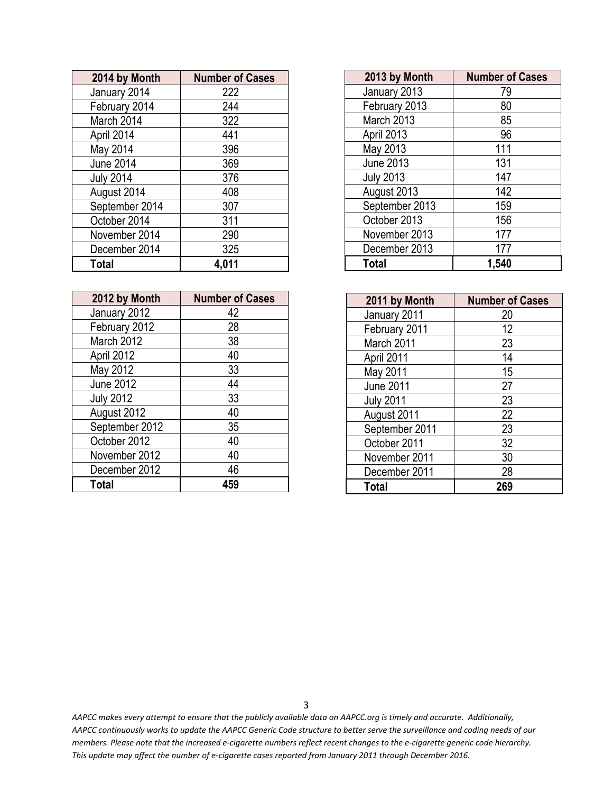| 2014 by Month    | <b>Number of Cases</b> |
|------------------|------------------------|
| January 2014     | 222                    |
| February 2014    | 244                    |
| March 2014       | 322                    |
| April 2014       | 441                    |
| May 2014         | 396                    |
| <b>June 2014</b> | 369                    |
| <b>July 2014</b> | 376                    |
| August 2014      | 408                    |
| September 2014   | 307                    |
| October 2014     | 311                    |
| November 2014    | 290                    |
| December 2014    | 325                    |
| <b>Total</b>     | 4,011                  |

| 2012 by Month    | <b>Number of Cases</b> |
|------------------|------------------------|
| January 2012     | 42                     |
| February 2012    | 28                     |
| March 2012       | 38                     |
| April 2012       | 40                     |
| May 2012         | 33                     |
| <b>June 2012</b> | 44                     |
| <b>July 2012</b> | 33                     |
| August 2012      | 40                     |
| September 2012   | 35                     |
| October 2012     | 40                     |
| November 2012    | 40                     |
| December 2012    | 46                     |
| <b>Total</b>     | 459                    |

| 2013 by Month    | <b>Number of Cases</b> |
|------------------|------------------------|
| January 2013     | 79                     |
| February 2013    | 80                     |
| March 2013       | 85                     |
| April 2013       | 96                     |
| May 2013         | 111                    |
| <b>June 2013</b> | 131                    |
| <b>July 2013</b> | 147                    |
| August 2013      | 142                    |
| September 2013   | 159                    |
| October 2013     | 156                    |
| November 2013    | 177                    |
| December 2013    | 177                    |
| <b>Total</b>     | 1,540                  |

| 2011 by Month    | <b>Number of Cases</b> |
|------------------|------------------------|
| January 2011     | 20                     |
| February 2011    | 12                     |
| March 2011       | 23                     |
| April 2011       | 14                     |
| May 2011         | 15                     |
| <b>June 2011</b> | 27                     |
| <b>July 2011</b> | 23                     |
| August 2011      | 22                     |
| September 2011   | 23                     |
| October 2011     | 32                     |
| November 2011    | 30                     |
| December 2011    | 28                     |
| <b>Total</b>     | 269                    |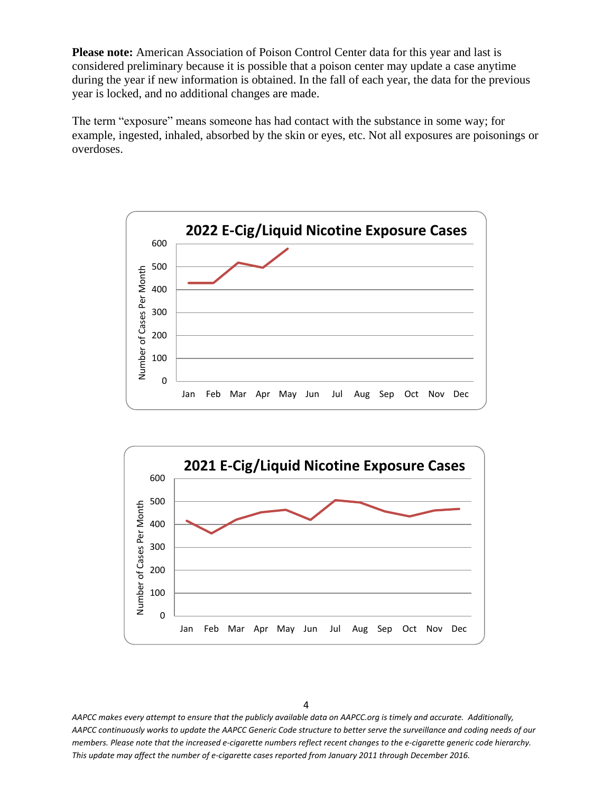**Please note:** American Association of Poison Control Center data for this year and last is considered preliminary because it is possible that a poison center may update a case anytime during the year if new information is obtained. In the fall of each year, the data for the previous year is locked, and no additional changes are made.

The term "exposure" means someone has had contact with the substance in some way; for example, ingested, inhaled, absorbed by the skin or eyes, etc. Not all exposures are poisonings or overdoses.



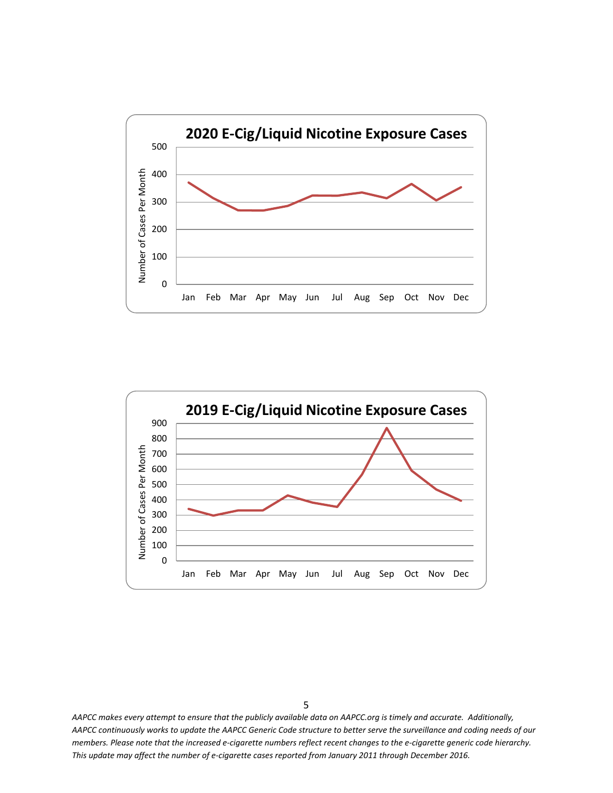

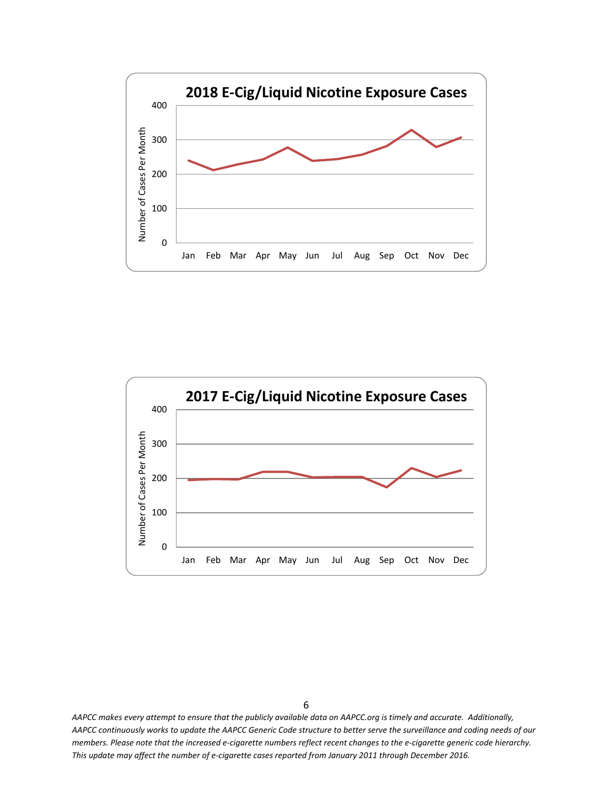

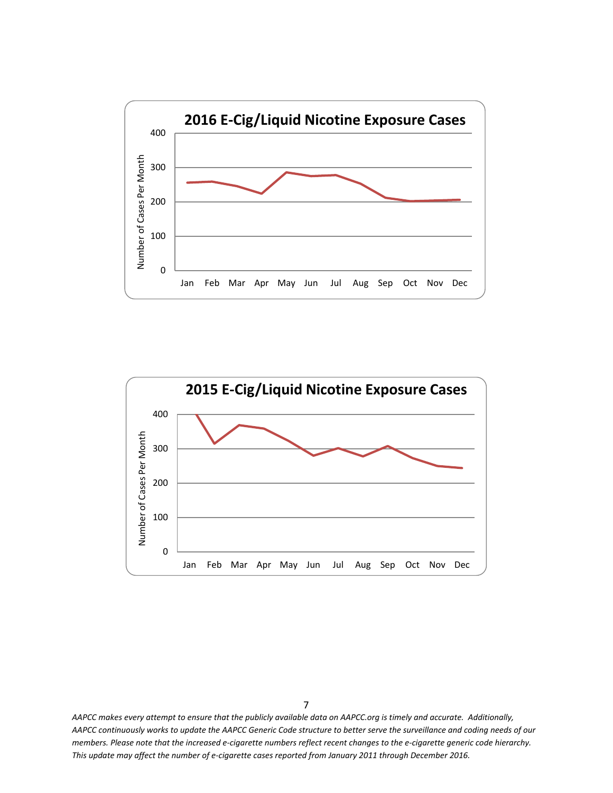

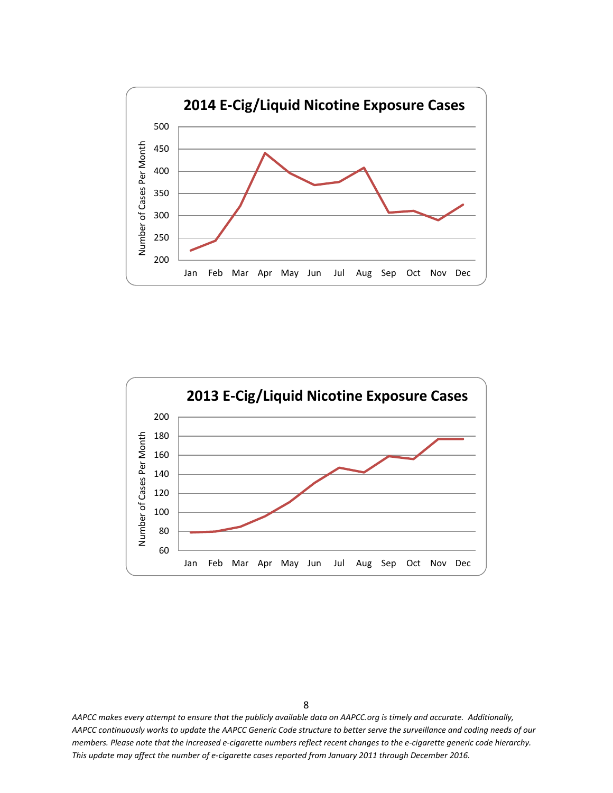